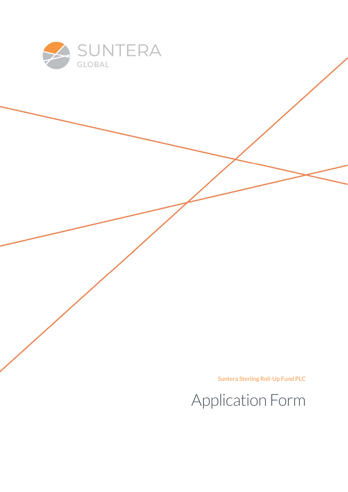

Suntera Sterling Roll-Up Fund PLC

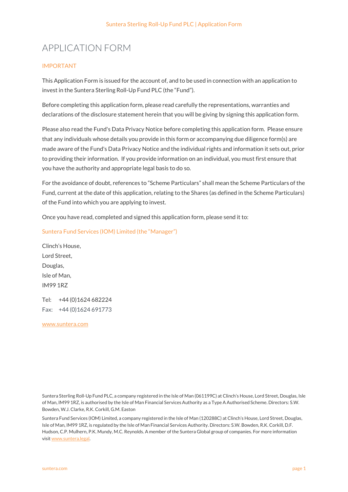# APPLICATION FORM

#### IMPORTANT

This Application Form is issued for the account of, and to be used in connection with an application to invest in the Suntera Sterling Roll-Up Fund PLC (the "Fund").

Before completing this application form, please read carefully the representations, warranties and declarations of the disclosure statement herein that you will be giving by signing this application form.

Please also read the Fund's Data Privacy Notice before completing this application form. Please ensure that any individuals whose details you provide in this form or accompanying due diligence form(s) are made aware of the Fund's Data Privacy Notice and the individual rights and information it sets out, prior to providing their information. If you provide information on an individual, you must first ensure that you have the authority and appropriate legal basis to do so.

For the avoidance of doubt, references to "Scheme Particulars" shall mean the Scheme Particulars of the Fund, current at the date of this application, relating to the Shares (as defined in the Scheme Particulars) of the Fund into which you are applying to invest.

Once you have read, completed and signed this application form, please send it to:

Suntera Fund Services (IOM) Limited (the "Manager")

Clinch's House, Lord Street, Douglas, Isle of Man, IM99 1RZ

Tel: +44 (0)1624 682224 Fax: +44 (0)1624 691773

www.suntera.com

Suntera Sterling Roll-Up Fund PLC, a company registered in the Isle of Man (061199C) at Clinch's House, Lord Street, Douglas, Isle of Man, IM99 1RZ, is authorised by the Isle of Man Financial Services Authority as a Type A Authorised Scheme. Directors: S.W. Bowden, W.J. Clarke, R.K. Corkill, G.M. Easton

Suntera Fund Services (IOM) Limited, a company registered in the Isle of Man (120288C) at Clinch's House, Lord Street, Douglas, Isle of Man, IM99 1RZ, is regulated by the Isle of Man Financial Services Authority. Directors: S.W. Bowden, R.K. Corkill, D.F. Hudson, C.P. Mulhern, P.K. Mundy, M.C. Reynolds. A member of the Suntera Global group of companies. For more information visit www.suntera.legal.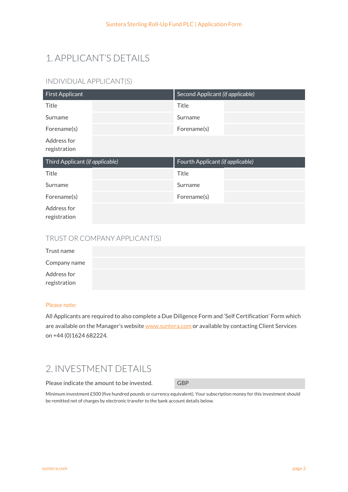# 1. APPLICANT'S DETAILS

## INDIVIDUAL APPLICANT(S)

| <b>First Applicant</b>          | Second Applicant (if applicable) |
|---------------------------------|----------------------------------|
| Title                           | Title                            |
| Surname                         | Surname                          |
| Forename(s)                     | Forename(s)                      |
| Address for<br>registration     |                                  |
|                                 |                                  |
| Third Applicant (if applicable) | Fourth Applicant (if applicable) |
| Title                           | Title                            |
| Surname                         | Surname                          |
| Forename(s)                     | Forename(s)                      |

### TRUST OR COMPANY APPLICANT(S)

| Trust name                  |  |  |
|-----------------------------|--|--|
| Company name                |  |  |
| Address for<br>registration |  |  |

#### Please note:

All Applicants are required to also complete a Due Diligence Form and 'Self Certification' Form which are available on the Manager's website www.suntera.com or available by contacting Client Services on +44 (0)1624 682224.

## 2. INVESTMENT DETAILS

Please indicate the amount to be invested. GBP

Minimum investment £500 (five hundred pounds or currency equivalent). Your subscription money for this investment should be remitted net of charges by electronic transfer to the bank account details below.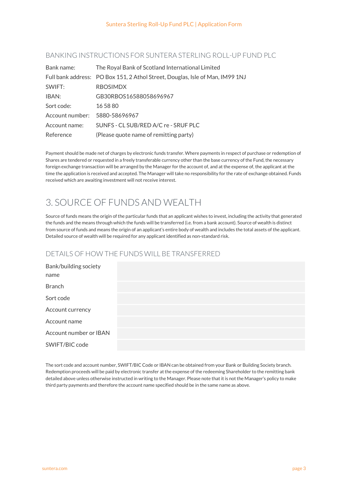#### BANKING INSTRUCTIONS FOR SUNTERA STERLING ROLL-UP FUND PLC

| Bank name:      | The Royal Bank of Scotland International Limited                              |
|-----------------|-------------------------------------------------------------------------------|
|                 | Full bank address: PO Box 151, 2 Athol Street, Douglas, Isle of Man, IM99 1NJ |
| SWIFT:          | <b>RBOSIMDX</b>                                                               |
| IBAN:           | GB30RBOS16588058696967                                                        |
| Sort code:      | 16 58 80                                                                      |
| Account number: | 5880-58696967                                                                 |
| Account name:   | SUNFS - CL SUB/RED A/C re - SRUF PLC                                          |
| Reference       | (Please quote name of remitting party)                                        |

Payment should be made net of charges by electronic funds transfer. Where payments in respect of purchase or redemption of Shares are tendered or requested in a freely transferable currency other than the base currency of the Fund, the necessary foreign exchange transaction will be arranged by the Manager for the account of, and at the expense of, the applicant at the time the application is received and accepted. The Manager will take no responsibility for the rate of exchange obtained. Funds received which are awaiting investment will not receive interest.

# 3. SOURCE OF FUNDS AND WEALTH

Source of funds means the origin of the particular funds that an applicant wishes to invest, including the activity that generated the funds and the means through which the funds will be transferred (i.e. from a bank account). Source of wealth is distinct from source of funds and means the origin of an applicant's entire body of wealth and includes the total assets of the applicant. Detailed source of wealth will be required for any applicant identified as non-standard risk.

### DETAILS OF HOW THE FUNDS WILL BE TRANSFERRED

The sort code and account number, SWIFT/BIC Code or IBAN can be obtained from your Bank or Building Society branch. Redemption proceeds will be paid by electronic transfer at the expense of the redeeming Shareholder to the remitting bank detailed above unless otherwise instructed in writing to the Manager. Please note that it is not the Manager's policy to make third party payments and therefore the account name specified should be in the same name as above.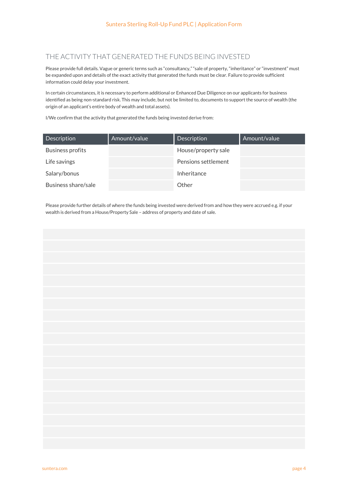### THE ACTIVITY THAT GENERATED THE FUNDS BEING INVESTED

Please provide full details. Vague or generic terms such as "consultancy," "sale of property, "inheritance" or "investment" must be expanded upon and details of the exact activity that generated the funds must be clear. Failure to provide sufficient information could delay your investment.

In certain circumstances, it is necessary to perform additional or Enhanced Due Diligence on our applicants for business identified as being non-standard risk. This may include, but not be limited to, documents to support the source of wealth (the origin of an applicant's entire body of wealth and total assets).

I/We confirm that the activity that generated the funds being invested derive from:

| <b>Description</b>  | Amount/value | Description         | Amount/value |
|---------------------|--------------|---------------------|--------------|
| Business profits    |              | House/property sale |              |
| Life savings        |              | Pensions settlement |              |
| Salary/bonus        |              | Inheritance         |              |
| Business share/sale |              | Other               |              |

Please provide further details of where the funds being invested were derived from and how they were accrued e.g. if your wealth is derived from a House/Property Sale – address of property and date of sale.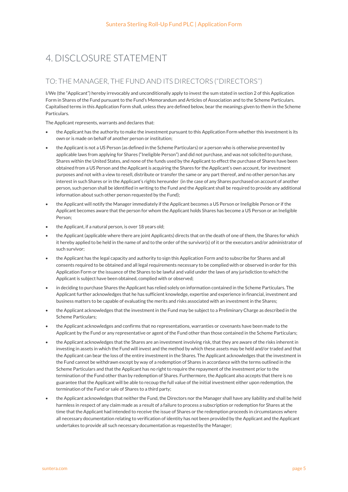# 4. DISCLOSURE STATEMENT

### TO: THE MANAGER, THE FUND AND ITS DIRECTORS ("DIRECTORS'')

I/We (the "Applicant") hereby irrevocably and unconditionally apply to invest the sum stated in section 2 of this Application Form in Shares of the Fund pursuant to the Fund's Memorandum and Articles of Association and to the Scheme Particulars. Capitalised terms in this Application Form shall, unless they are defined below, bear the meanings given to them in the Scheme Particulars.

The Applicant represents, warrants and declares that:

- the Applicant has the authority to make the investment pursuant to this Application Form whether this investment is its own or is made on behalf of another person or institution;
- the Applicant is not a US Person (as defined in the Scheme Particulars) or a person who is otherwise prevented by applicable laws from applying for Shares ("Ineligible Person") and did not purchase, and was not solicited to purchase, Shares within the United States, and none of the funds used by the Applicant to effect the purchase of Shares have been obtained from a US Person and the Applicant is acquiring the Shares for the Applicant's own account, for investment purposes and not with a view to resell, distribute or transfer the same or any part thereof, and no other person has any interest in such Shares or in the Applicant's rights hereunder (in the case of any Shares purchased on account of another person, such person shall be identified in writing to the Fund and the Applicant shall be required to provide any additional information about such other person requested by the Fund);
- the Applicant will notify the Manager immediately if the Applicant becomes a US Person or Ineligible Person or if the Applicant becomes aware that the person for whom the Applicant holds Shares has become a US Person or an Ineligible Person;
- the Applicant, if a natural person, is over 18 years old;
- the Applicant (applicable where there are joint Applicants) directs that on the death of one of them, the Shares for which it hereby applied to be held in the name of and to the order of the survivor(s) of it or the executors and/or administrator of such survivor;
- the Applicant has the legal capacity and authority to sign this Application Form and to subscribe for Shares and all consents required to be obtained and all legal requirements necessary to be complied with or observed in order for this Application Form or the issuance of the Shares to be lawful and valid under the laws of any jurisdiction to which the Applicant is subject have been obtained, complied with or observed;
- in deciding to purchase Shares the Applicant has relied solely on information contained in the Scheme Particulars. The Applicant further acknowledges that he has sufficient knowledge, expertise and experience in financial, investment and business matters to be capable of evaluating the merits and risks associated with an investment in the Shares;
- the Applicant acknowledges that the investment in the Fund may be subject to a Preliminary Charge as described in the Scheme Particulars;
- the Applicant acknowledges and confirms that no representations, warranties or covenants have been made to the Applicant by the Fund or any representative or agent of the Fund other than those contained in the Scheme Particulars;
- the Applicant acknowledges that the Shares are an investment involving risk, that they are aware of the risks inherent in investing in assets in which the Fund will invest and the method by which these assets may be held and/or traded and that the Applicant can bear the loss of the entire investment in the Shares. The Applicant acknowledges that the investment in the Fund cannot be withdrawn except by way of a redemption of Shares in accordance with the terms outlined in the Scheme Particulars and that the Applicant has no right to require the repayment of the investment prior to the termination of the Fund other than by redemption of Shares. Furthermore, the Applicant also accepts that there is no guarantee that the Applicant will be able to recoup the full value of the initial investment either upon redemption, the termination of the Fund or sale of Shares to a third party;
- the Applicant acknowledges that neither the Fund, the Directors nor the Manager shall have any liability and shall be held harmless in respect of any claim made as a result of a failure to process a subscription or redemption for Shares at the time that the Applicant had intended to receive the issue of Shares or the redemption proceeds in circumstances where all necessary documentation relating to verification of identity has not been provided by the Applicant and the Applicant undertakes to provide all such necessary documentation as requested by the Manager;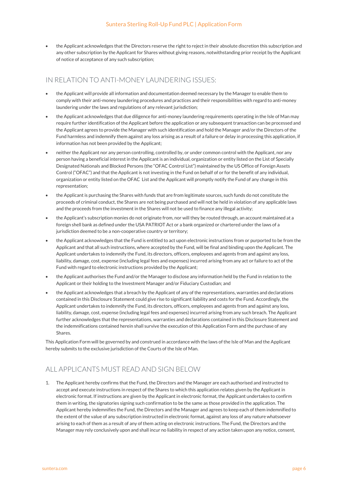the Applicant acknowledges that the Directors reserve the right to reject in their absolute discretion this subscription and any other subscription by the Applicant for Shares without giving reasons, notwithstanding prior receipt by the Applicant of notice of acceptance of any such subscription;

#### IN RELATION TO ANTI-MONEY LAUNDERING ISSUES:

- the Applicant will provide all information and documentation deemed necessary by the Manager to enable them to comply with their anti-money laundering procedures and practices and their responsibilities with regard to anti-money laundering under the laws and regulations of any relevant jurisdiction;
- the Applicant acknowledges that due diligence for anti-money laundering requirements operating in the Isle of Man may require further identification of the Applicant before the application or any subsequent transaction can be processed and the Applicant agrees to provide the Manager with such identification and hold the Manager and/or the Directors of the Fund harmless and indemnify them against any loss arising as a result of a failure or delay in processing this application, if information has not been provided by the Applicant;
- neither the Applicant nor any person controlling, controlled by, or under common control with the Applicant, nor any person having a beneficial interest in the Applicant is an individual, organization or entity listed on the List of Specially Designated Nationals and Blocked Persons (the "OFAC Control List") maintained by the US Office of Foreign Assets Control ("OFAC") and that the Applicant is not investing in the Fund on behalf of or for the benefit of any individual, organization or entity listed on the OFAC List and the Applicant will promptly notify the Fund of any change in this representation;
- the Applicant is purchasing the Shares with funds that are from legitimate sources, such funds do not constitute the proceeds of criminal conduct, the Shares are not being purchased and will not be held in violation of any applicable laws and the proceeds from the investment in the Shares will not be used to finance any illegal activity;
- the Applicant's subscription monies do not originate from, nor will they be routed through, an account maintained at a foreign shell bank as defined under the USA PATRIOT Act or a bank organized or chartered under the laws of a jurisdiction deemed to be a non-cooperative country or territory;
- the Applicant acknowledges that the Fund is entitled to act upon electronic instructions from or purported to be from the Applicant and that all such instructions, where accepted by the Fund, will be final and binding upon the Applicant. The Applicant undertakes to indemnify the Fund, its directors, officers, employees and agents from and against any loss, liability, damage, cost, expense (including legal fees and expenses) incurred arising from any act or failure to act of the Fund with regard to electronic instructions provided by the Applicant;
- the Applicant authorises the Fund and/or the Manager to disclose any information held by the Fund in relation to the Applicant or their holding to the Investment Manager and/or Fiduciary Custodian; and
- the Applicant acknowledges that a breach by the Applicant of any of the representations, warranties and declarations contained in this Disclosure Statement could give rise to significant liability and costs for the Fund. Accordingly, the Applicant undertakes to indemnify the Fund, its directors, officers, employees and agents from and against any loss, liability, damage, cost, expense (including legal fees and expenses) incurred arising from any such breach. The Applicant further acknowledges that the representations, warranties and declarations contained in this Disclosure Statement and the indemnifications contained herein shall survive the execution of this Application Form and the purchase of any Shares.

This Application Form will be governed by and construed in accordance with the laws of the Isle of Man and the Applicant hereby submits to the exclusive jurisdiction of the Courts of the Isle of Man.

## ALL APPLICANTS MUST READ AND SIGN BELOW

1. The Applicant hereby confirms that the Fund, the Directors and the Manager are each authorised and instructed to accept and execute instructions in respect of the Shares to which this application relates given by the Applicant in electronic format. If instructions are given by the Applicant in electronic format, the Applicant undertakes to confirm them in writing, the signatories signing such confirmation to be the same as those provided in the application. The Applicant hereby indemnifies the Fund, the Directors and the Manager and agrees to keep each of them indemnified to the extent of the value of any subscription instructed in electronic format, against any loss of any nature whatsoever arising to each of them as a result of any of them acting on electronic instructions. The Fund, the Directors and the Manager may rely conclusively upon and shall incur no liability in respect of any action taken upon any notice, consent,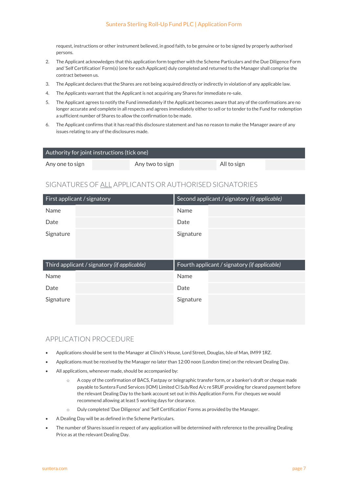#### Suntera Sterling Roll-Up Fund PLC | Application Form

request, instructions or other instrument believed, in good faith, to be genuine or to be signed by properly authorised persons.

- 2. The Applicant acknowledges that this application form together with the Scheme Particulars and the Due Diligence Form and 'Self Certification' Form(s) (one for each Applicant) duly completed and returned to the Manager shall comprise the contract between us.
- 3. The Applicant declares that the Shares are not being acquired directly or indirectly in violation of any applicable law.
- 4. The Applicants warrant that the Applicant is not acquiring any Shares for immediate re-sale.
- 5. The Applicant agrees to notify the Fund immediately if the Applicant becomes aware that any of the confirmations are no longer accurate and complete in all respects and agrees immediately either to sell or to tender to the Fund for redemption a sufficient number of Shares to allow the confirmation to be made.
- 6. The Applicant confirms that it has read this disclosure statement and has no reason to make the Manager aware of any issues relating to any of the disclosures made.

| $\,$ Authority for joint instructions (tick one) $^{\dagger}$ |                 |             |  |
|---------------------------------------------------------------|-----------------|-------------|--|
| Any one to sign                                               | Any two to sign | All to sign |  |

### SIGNATURES OF ALL APPLICANTS OR AUTHORISED SIGNATORIES

| First applicant / signatory | Second applicant / signatory (if applicable) |
|-----------------------------|----------------------------------------------|
| Name                        | Name                                         |
| Date                        | Date                                         |
| Signature                   | Signature                                    |

| Third applicant / signatory (if applicable) |  | Fourth applicant / signatory (if applicable) |  |
|---------------------------------------------|--|----------------------------------------------|--|
| Name                                        |  | Name                                         |  |
| Date                                        |  | Date                                         |  |
| Signature                                   |  | Signature                                    |  |
|                                             |  |                                              |  |

### APPLICATION PROCEDURE

- Applications should be sent to the Manager at Clinch's House, Lord Street, Douglas, Isle of Man, IM99 1RZ.
- Applications must be received by the Manager no later than 12:00 noon (London time) on the relevant Dealing Day.
- All applications, whenever made, should be accompanied by:
	- o A copy of the confirmation of BACS, Fastpay or telegraphic transfer form, or a banker's draft or cheque made payable to Suntera Fund Services (IOM) Limited Cl Sub/Red A/c re SRUF providing for cleared payment before the relevant Dealing Day to the bank account set out in this Application Form. For cheques we would recommend allowing at least 5 working days for clearance.
	- o Duly completed 'Due Diligence' and 'Self Certification' Forms as provided by the Manager.
- A Dealing Day will be as defined in the Scheme Particulars.
- The number of Shares issued in respect of any application will be determined with reference to the prevailing Dealing Price as at the relevant Dealing Day.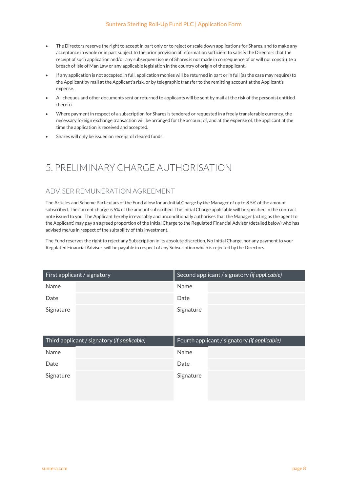#### Suntera Sterling Roll-Up Fund PLC | Application Form

- The Directors reserve the right to accept in part only or to reject or scale down applications for Shares, and to make any acceptance in whole or in part subject to the prior provision of information sufficient to satisfy the Directors that the receipt of such application and/or any subsequent issue of Shares is not made in consequence of or will not constitute a breach of Isle of Man Law or any applicable legislation in the country of origin of the applicant.
- If any application is not accepted in full, application monies will be returned in part or in full (as the case may require) to the Applicant by mail at the Applicant's risk, or by telegraphic transfer to the remitting account at the Applicant's expense.
- All cheques and other documents sent or returned to applicants will be sent by mail at the risk of the person(s) entitled thereto.
- Where payment in respect of a subscription for Shares is tendered or requested in a freely transferable currency, the necessary foreign exchange transaction will be arranged for the account of, and at the expense of, the applicant at the time the application is received and accepted.
- Shares will only be issued on receipt of cleared funds.

## 5. PRELIMINARY CHARGE AUTHORISATION

#### ADVISER REMUNERATION AGREEMENT

The Articles and Scheme Particulars of the Fund allow for an Initial Charge by the Manager of up to 8.5% of the amount subscribed. The current charge is 5% of the amount subscribed. The Initial Charge applicable will be specified in the contract note issued to you. The Applicant hereby irrevocably and unconditionally authorises that the Manager (acting as the agent to the Applicant) may pay an agreed proportion of the Initial Charge to the Regulated Financial Adviser (detailed below) who has advised me/us in respect of the suitability of this investment.

The Fund reserves the right to reject any Subscription in its absolute discretion. No Initial Charge, nor any payment to your Regulated Financial Adviser, will be payable in respect of any Subscription which is rejected by the Directors.

| First applicant / signatory | Second applicant / signatory (if applicable) |  |
|-----------------------------|----------------------------------------------|--|
| Name                        | Name                                         |  |
| Date                        | Date                                         |  |
| Signature                   | Signature                                    |  |

| Third applicant / signatory (if applicable) |  | Fourth applicant / signatory (if applicable) |  |
|---------------------------------------------|--|----------------------------------------------|--|
| Name                                        |  | Name                                         |  |
| Date                                        |  | Date                                         |  |
| Signature                                   |  | Signature                                    |  |